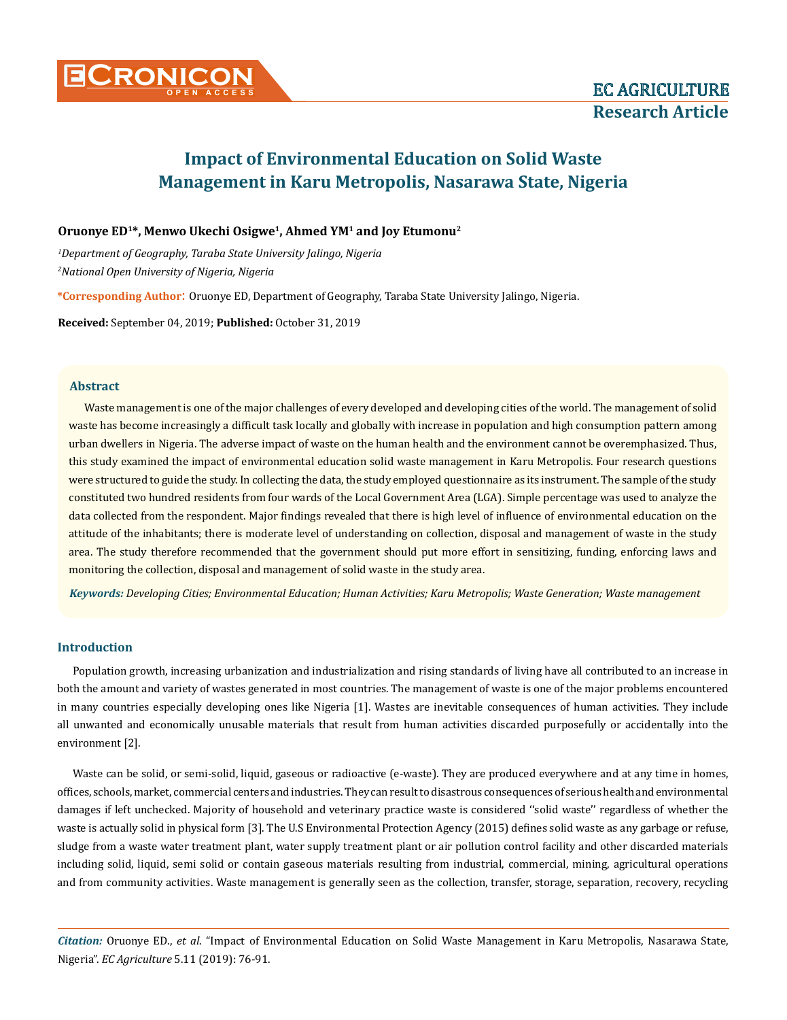

# **Oruonye ED1\*, Menwo Ukechi Osigwe1, Ahmed YM1 and Joy Etumonu2**

*1 Department of Geography, Taraba State University Jalingo, Nigeria 2 National Open University of Nigeria, Nigeria*

**\*Corresponding Author**: Oruonye ED, Department of Geography, Taraba State University Jalingo, Nigeria.

**Received:** September 04, 2019; **Published:** October 31, 2019

## **Abstract**

Waste management is one of the major challenges of every developed and developing cities of the world. The management of solid waste has become increasingly a difficult task locally and globally with increase in population and high consumption pattern among urban dwellers in Nigeria. The adverse impact of waste on the human health and the environment cannot be overemphasized. Thus, this study examined the impact of environmental education solid waste management in Karu Metropolis. Four research questions were structured to guide the study. In collecting the data, the study employed questionnaire as its instrument. The sample of the study constituted two hundred residents from four wards of the Local Government Area (LGA). Simple percentage was used to analyze the data collected from the respondent. Major findings revealed that there is high level of influence of environmental education on the attitude of the inhabitants; there is moderate level of understanding on collection, disposal and management of waste in the study area. The study therefore recommended that the government should put more effort in sensitizing, funding, enforcing laws and monitoring the collection, disposal and management of solid waste in the study area.

*Keywords: Developing Cities; Environmental Education; Human Activities; Karu Metropolis; Waste Generation; Waste management* 

# **Introduction**

Population growth, increasing urbanization and industrialization and rising standards of living have all contributed to an increase in both the amount and variety of wastes generated in most countries. The management of waste is one of the major problems encountered in many countries especially developing ones like Nigeria [1]. Wastes are inevitable consequences of human activities. They include all unwanted and economically unusable materials that result from human activities discarded purposefully or accidentally into the environment [2].

Waste can be solid, or semi-solid, liquid, gaseous or radioactive (e-waste). They are produced everywhere and at any time in homes, offices, schools, market, commercial centers and industries. They can result to disastrous consequences of serious health and environmental damages if left unchecked. Majority of household and veterinary practice waste is considered ''solid waste'' regardless of whether the waste is actually solid in physical form [3]. The U.S Environmental Protection Agency (2015) defines solid waste as any garbage or refuse, sludge from a waste water treatment plant, water supply treatment plant or air pollution control facility and other discarded materials including solid, liquid, semi solid or contain gaseous materials resulting from industrial, commercial, mining, agricultural operations and from community activities. Waste management is generally seen as the collection, transfer, storage, separation, recovery, recycling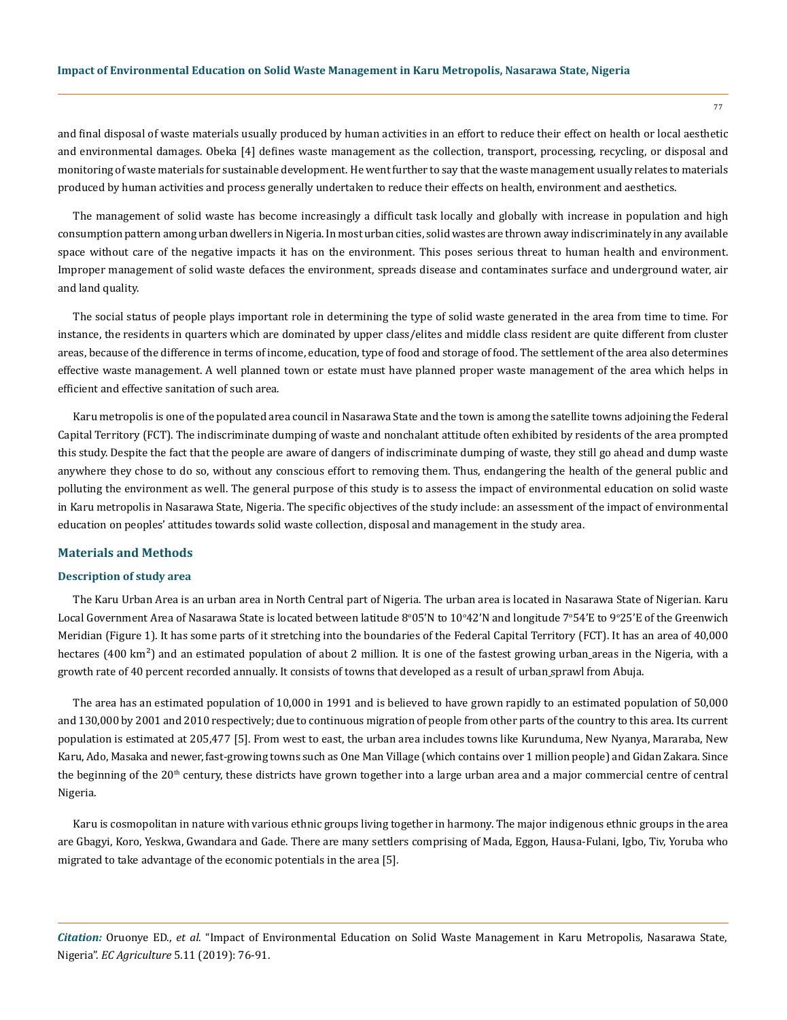and final disposal of waste materials usually produced by human activities in an effort to reduce their effect on health or local aesthetic and environmental damages. Obeka [4] defines waste management as the collection, transport, processing, recycling, or disposal and monitoring of waste materials for sustainable development. He went further to say that the waste management usually relates to materials produced by human activities and process generally undertaken to reduce their effects on health, environment and aesthetics.

The management of solid waste has become increasingly a difficult task locally and globally with increase in population and high consumption pattern among urban dwellers in Nigeria. In most urban cities, solid wastes are thrown away indiscriminately in any available space without care of the negative impacts it has on the environment. This poses serious threat to human health and environment. Improper management of solid waste defaces the environment, spreads disease and contaminates surface and underground water, air and land quality.

The social status of people plays important role in determining the type of solid waste generated in the area from time to time. For instance, the residents in quarters which are dominated by upper class/elites and middle class resident are quite different from cluster areas, because of the difference in terms of income, education, type of food and storage of food. The settlement of the area also determines effective waste management. A well planned town or estate must have planned proper waste management of the area which helps in efficient and effective sanitation of such area.

Karu metropolis is one of the populated area council in Nasarawa State and the town is among the satellite towns adjoining the Federal Capital Territory (FCT). The indiscriminate dumping of waste and nonchalant attitude often exhibited by residents of the area prompted this study. Despite the fact that the people are aware of dangers of indiscriminate dumping of waste, they still go ahead and dump waste anywhere they chose to do so, without any conscious effort to removing them. Thus, endangering the health of the general public and polluting the environment as well. The general purpose of this study is to assess the impact of environmental education on solid waste in Karu metropolis in Nasarawa State, Nigeria. The specific objectives of the study include: an assessment of the impact of environmental education on peoples' attitudes towards solid waste collection, disposal and management in the study area.

## **Materials and Methods**

#### **Description of study area**

The Karu Urban Area is an urban area in North Central part of Nigeria. The urban area is located in [Nasarawa](https://en.wikipedia.org/wiki/Nasarawa) State of Nigerian. Karu Local Government Area of Nasarawa State is located between latitude 8°05'N to  $10^{\circ}42^{\prime}\text{N}$  and longitude 7°54'E to 9°25'E of the Greenwich Meridian (Figure 1). It has some parts of it stretching into the boundaries of the [Federal Capital Territory](https://en.wikipedia.org/wiki/Federal_Capital_Territory,_Nigeria) (FCT). It has an area of 40,000 hectares (400 km<sup>2</sup>) and an estimated population of about 2 million. It is one of the fastest growing [urban](https://en.wikipedia.org/wiki/Urban_area) areas in the Nigeria, with a growth rate of 40 percent recorded annually. It consists of towns that developed as a result of urban [sprawl](https://en.wikipedia.org/wiki/Urban_sprawl) from [Abuja.](https://en.wikipedia.org/wiki/Abuja)

The area has an estimated population of 10,000 in 1991 and is believed to have grown rapidly to an estimated population of 50,000 and 130,000 by 2001 and 2010 respectively; due to continuous migration of people from other parts of the country to this area. Its current population is estimated at 205,477 [5]. From west to east, the urban area includes towns like [Kurunduma](https://en.wikipedia.org/wiki/Kurunduma), [New Nyanya](https://en.wikipedia.org/wiki/New_Nyanya), [Mararaba](https://en.wikipedia.org/wiki/Mararaba), [New](https://en.wikipedia.org/wiki/New_Karu)  [Karu,](https://en.wikipedia.org/wiki/New_Karu) [Ado,](https://en.wikipedia.org/wiki/Ado,_Nasarawa) [Masaka](https://en.wikipedia.org/wiki/Masaka,_Nigeria) and newer, fast-growing towns such as One Man Village (which contains over 1 million people) and Gidan Zakara. Since the beginning of the  $20<sup>th</sup>$  century, these districts have grown together into a large urban area and a major commercial centre of central Nigeria.

Karu is cosmopolitan in nature with various ethnic groups living together in harmony. The major indigenous ethnic groups in the area are Gbagyi, Koro, Yeskwa, Gwandara and Gade. There are many settlers comprising of Mada, Eggon, Hausa-Fulani, Igbo, Tiv, Yoruba who migrated to take advantage of the economic potentials in the area [5].

*Citation:* Oruonye ED., *et al*. "Impact of Environmental Education on Solid Waste Management in Karu Metropolis, Nasarawa State, Nigeria". *EC Agriculture* 5.11 (2019): 76-91.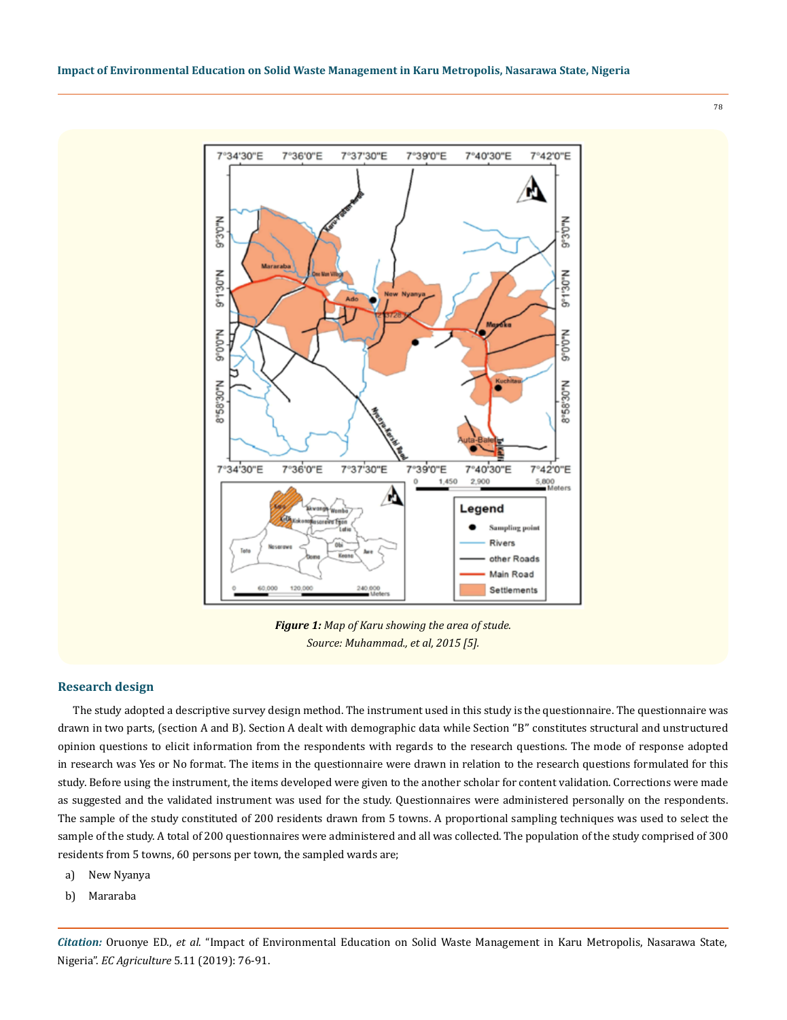78



*Figure 1: Map of Karu showing the area of stude. Source: Muhammad., et al, 2015 [5].* 

# **Research design**

The study adopted a descriptive survey design method. The instrument used in this study is the questionnaire. The questionnaire was drawn in two parts, (section A and B). Section A dealt with demographic data while Section ''B'' constitutes structural and unstructured opinion questions to elicit information from the respondents with regards to the research questions. The mode of response adopted in research was Yes or No format. The items in the questionnaire were drawn in relation to the research questions formulated for this study. Before using the instrument, the items developed were given to the another scholar for content validation. Corrections were made as suggested and the validated instrument was used for the study. Questionnaires were administered personally on the respondents. The sample of the study constituted of 200 residents drawn from 5 towns. A proportional sampling techniques was used to select the sample of the study. A total of 200 questionnaires were administered and all was collected. The population of the study comprised of 300 residents from 5 towns, 60 persons per town, the sampled wards are;

- a) New Nyanya
- b) Mararaba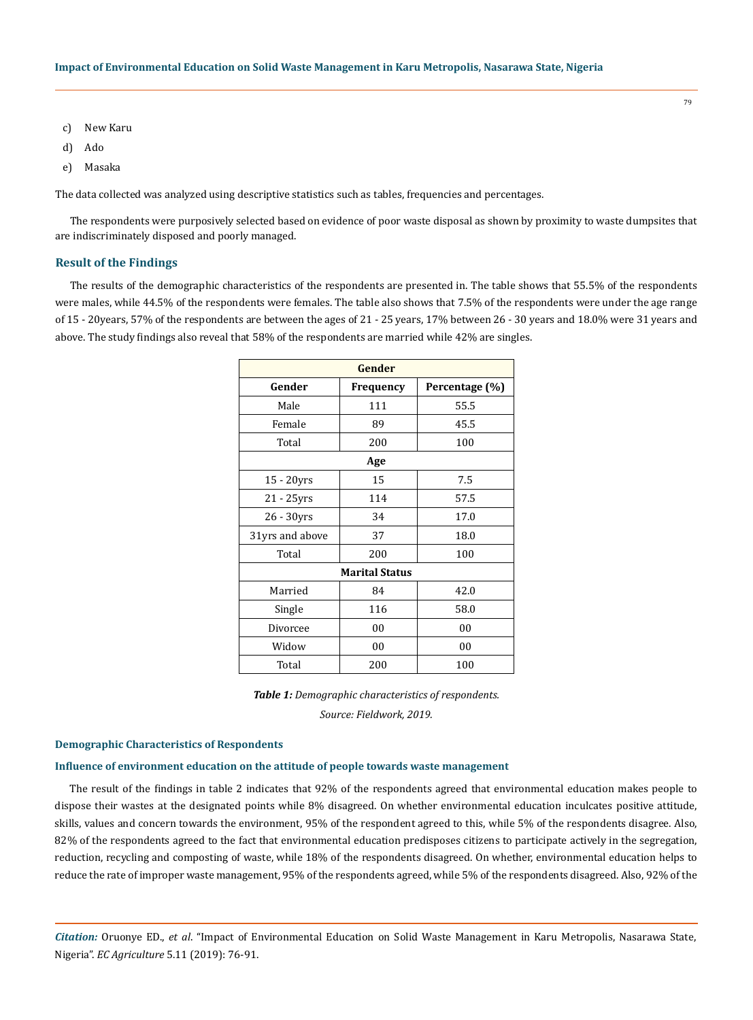- c) New Karu
- d) Ado
- e) Masaka

The data collected was analyzed using descriptive statistics such as tables, frequencies and percentages.

The respondents were purposively selected based on evidence of poor waste disposal as shown by proximity to waste dumpsites that are indiscriminately disposed and poorly managed.

# **Result of the Findings**

The results of the demographic characteristics of the respondents are presented in. The table shows that 55.5% of the respondents were males, while 44.5% of the respondents were females. The table also shows that 7.5% of the respondents were under the age range of 15 - 20years, 57% of the respondents are between the ages of 21 - 25 years, 17% between 26 - 30 years and 18.0% were 31 years and above. The study findings also reveal that 58% of the respondents are married while 42% are singles.

| Gender          |                       |                |  |  |  |  |  |  |  |  |
|-----------------|-----------------------|----------------|--|--|--|--|--|--|--|--|
| Gender          | <b>Frequency</b>      | Percentage (%) |  |  |  |  |  |  |  |  |
| Male            | 111                   | 55.5           |  |  |  |  |  |  |  |  |
| Female          | 89                    | 45.5           |  |  |  |  |  |  |  |  |
| Total           | 200                   | 100            |  |  |  |  |  |  |  |  |
| Age             |                       |                |  |  |  |  |  |  |  |  |
| $15 - 20$ yrs   | 15                    | 7.5            |  |  |  |  |  |  |  |  |
| 21 - 25yrs      | 114                   | 57.5           |  |  |  |  |  |  |  |  |
| 26 - 30yrs      | 34                    | 17.0           |  |  |  |  |  |  |  |  |
| 31yrs and above | 37                    | 18.0           |  |  |  |  |  |  |  |  |
| Total           | 200                   | 100            |  |  |  |  |  |  |  |  |
|                 | <b>Marital Status</b> |                |  |  |  |  |  |  |  |  |
| Married         | 84                    | 42.0           |  |  |  |  |  |  |  |  |
| Single          | 116                   | 58.0           |  |  |  |  |  |  |  |  |
| Divorcee        | 00                    | 00             |  |  |  |  |  |  |  |  |
| Widow           | 00                    | 00             |  |  |  |  |  |  |  |  |
| Total           | 200                   | 100            |  |  |  |  |  |  |  |  |

*Table 1: Demographic characteristics of respondents. Source: Fieldwork, 2019.*

## **Demographic Characteristics of Respondents**

#### **Influence of environment education on the attitude of people towards waste management**

The result of the findings in table 2 indicates that 92% of the respondents agreed that environmental education makes people to dispose their wastes at the designated points while 8% disagreed. On whether environmental education inculcates positive attitude, skills, values and concern towards the environment, 95% of the respondent agreed to this, while 5% of the respondents disagree. Also, 82% of the respondents agreed to the fact that environmental education predisposes citizens to participate actively in the segregation, reduction, recycling and composting of waste, while 18% of the respondents disagreed. On whether, environmental education helps to reduce the rate of improper waste management, 95% of the respondents agreed, while 5% of the respondents disagreed. Also, 92% of the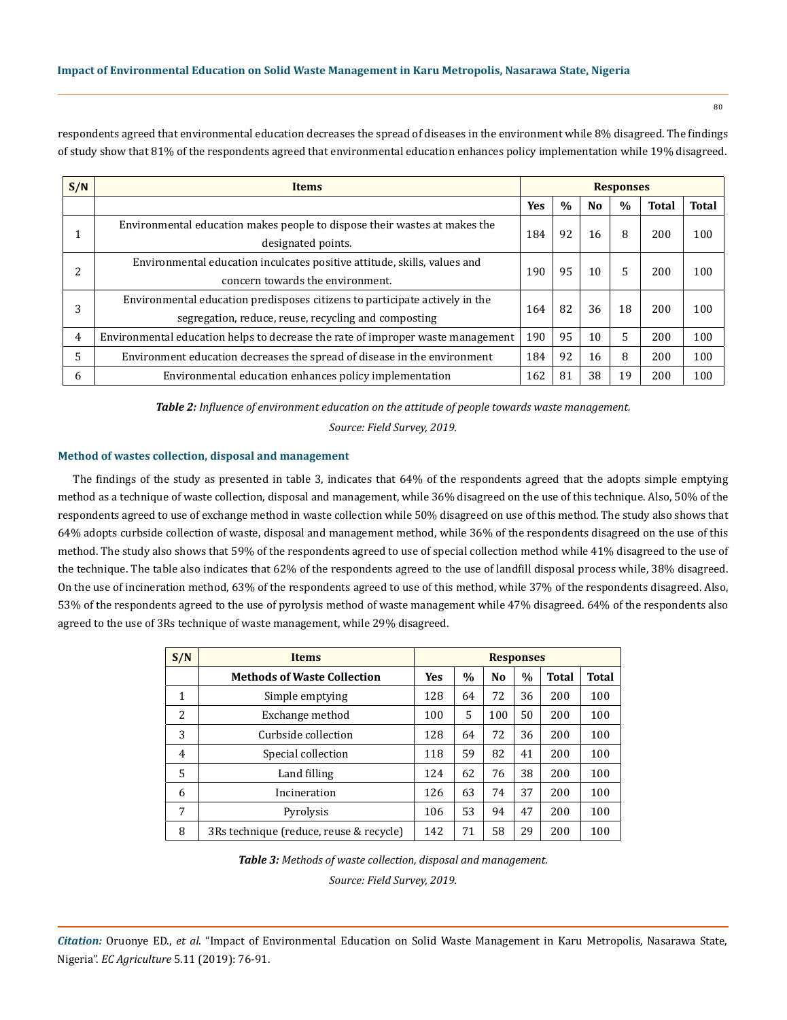respondents agreed that environmental education decreases the spread of diseases in the environment while 8% disagreed. The findings of study show that 81% of the respondents agreed that environmental education enhances policy implementation while 19% disagreed.

| S/N | <b>Items</b>                                                                                                                        | <b>Responses</b> |      |                |               |              |              |
|-----|-------------------------------------------------------------------------------------------------------------------------------------|------------------|------|----------------|---------------|--------------|--------------|
|     |                                                                                                                                     | <b>Yes</b>       | $\%$ | N <sub>o</sub> | $\frac{0}{0}$ | <b>Total</b> | <b>Total</b> |
|     | Environmental education makes people to dispose their wastes at makes the<br>designated points.                                     | 184              | 92   | 16             | 8             | 200          | 100          |
|     | Environmental education inculcates positive attitude, skills, values and<br>concern towards the environment.                        | 190              | 95   | 10             | 5             | 200          | 100          |
|     | Environmental education predisposes citizens to participate actively in the<br>segregation, reduce, reuse, recycling and composting | 164              | 82   | 36             | 18            | 200          | 100          |
| 4   | Environmental education helps to decrease the rate of improper waste management                                                     | 190              | 95   | 10             | 5             | 200          | 100          |
| 5   | Environment education decreases the spread of disease in the environment                                                            | 184              | 92   | 16             | 8             | 200          | 100          |
| 6   | Environmental education enhances policy implementation                                                                              | 162              | 81   | 38             | 19            | 200          | 100          |

*Table 2: Influence of environment education on the attitude of people towards waste management.*

*Source: Field Survey, 2019.*

# **Method of wastes collection, disposal and management**

The findings of the study as presented in table 3, indicates that 64% of the respondents agreed that the adopts simple emptying method as a technique of waste collection, disposal and management, while 36% disagreed on the use of this technique. Also, 50% of the respondents agreed to use of exchange method in waste collection while 50% disagreed on use of this method. The study also shows that 64% adopts curbside collection of waste, disposal and management method, while 36% of the respondents disagreed on the use of this method. The study also shows that 59% of the respondents agreed to use of special collection method while 41% disagreed to the use of the technique. The table also indicates that 62% of the respondents agreed to the use of landfill disposal process while, 38% disagreed. On the use of incineration method, 63% of the respondents agreed to use of this method, while 37% of the respondents disagreed. Also, 53% of the respondents agreed to the use of pyrolysis method of waste management while 47% disagreed. 64% of the respondents also agreed to the use of 3Rs technique of waste management, while 29% disagreed.

| S/N            | <b>Items</b>                            | <b>Responses</b> |      |                |               |              |              |
|----------------|-----------------------------------------|------------------|------|----------------|---------------|--------------|--------------|
|                | <b>Methods of Waste Collection</b>      | <b>Yes</b>       | $\%$ | N <sub>0</sub> | $\frac{0}{0}$ | <b>Total</b> | <b>Total</b> |
| 1              | Simple emptying                         | 128              | 64   | 72             | 36            | 200          | 100          |
| 2              | Exchange method                         | 100              | 5    | 100            | 50            | 200          | 100          |
| 3              | Curbside collection                     | 128              | 64   | 72             | 36            | 200          | 100          |
| $\overline{4}$ | Special collection                      | 118              | 59   | 82             | 41            | 200          | 100          |
| 5              | Land filling                            | 124              | 62   | 76             | 38            | 200          | 100          |
| 6              | Incineration                            | 126              | 63   | 74             | 37            | 200          | 100          |
| 7              | Pyrolysis                               | 106              | 53   | 94             | 47            | 200          | 100          |
| 8              | 3Rs technique (reduce, reuse & recycle) | 142              | 71   | 58             | 29            | 200          | 100          |

*Table 3: Methods of waste collection, disposal and management.*

*Source: Field Survey, 2019.*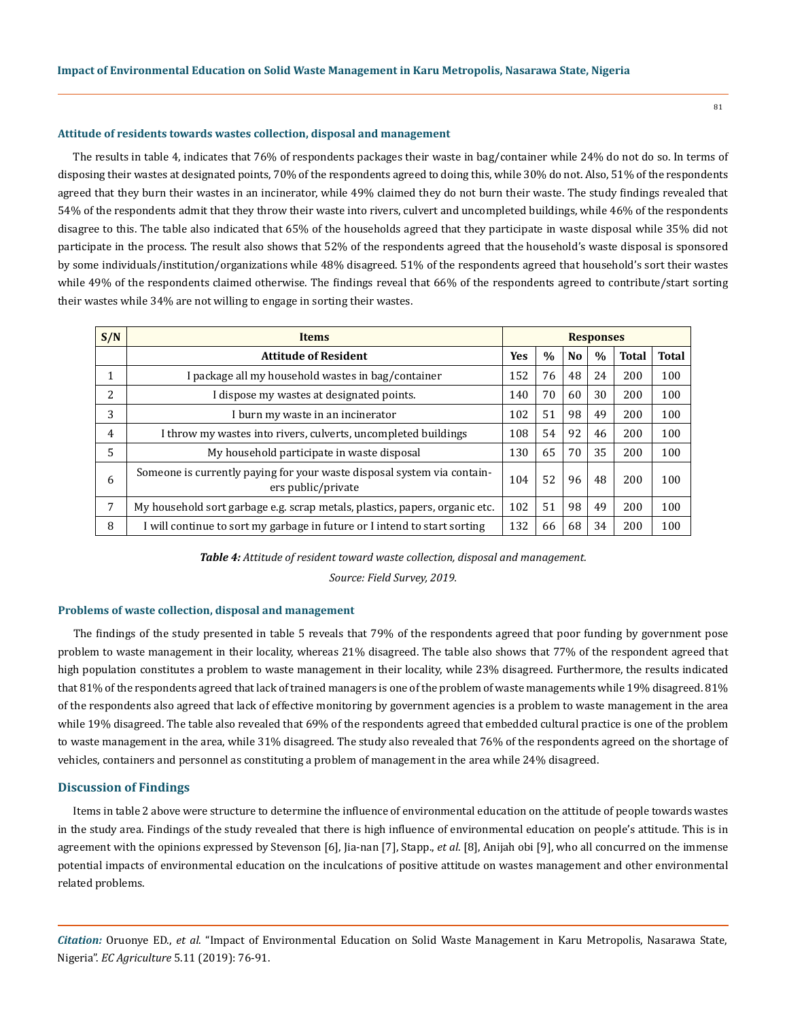#### 81

## **Attitude of residents towards wastes collection, disposal and management**

The results in table 4, indicates that 76% of respondents packages their waste in bag/container while 24% do not do so. In terms of disposing their wastes at designated points, 70% of the respondents agreed to doing this, while 30% do not. Also, 51% of the respondents agreed that they burn their wastes in an incinerator, while 49% claimed they do not burn their waste. The study findings revealed that 54% of the respondents admit that they throw their waste into rivers, culvert and uncompleted buildings, while 46% of the respondents disagree to this. The table also indicated that 65% of the households agreed that they participate in waste disposal while 35% did not participate in the process. The result also shows that 52% of the respondents agreed that the household's waste disposal is sponsored by some individuals/institution/organizations while 48% disagreed. 51% of the respondents agreed that household's sort their wastes while 49% of the respondents claimed otherwise. The findings reveal that 66% of the respondents agreed to contribute/start sorting their wastes while 34% are not willing to engage in sorting their wastes.

| S/N | <b>Items</b>                                                                                  | <b>Responses</b> |               |                |      |              |              |
|-----|-----------------------------------------------------------------------------------------------|------------------|---------------|----------------|------|--------------|--------------|
|     | <b>Attitude of Resident</b>                                                                   | Yes              | $\frac{0}{0}$ | N <sub>0</sub> | $\%$ | <b>Total</b> | <b>Total</b> |
| 1   | I package all my household wastes in bag/container                                            | 152              | 76            | 48             | 24   | 200          | 100          |
| 2   | I dispose my wastes at designated points.                                                     | 140              | 70            | 60             | 30   | 200          | 100          |
| 3   | I burn my waste in an incinerator                                                             | 102              | 51            | 98             | 49   | 200          | 100          |
| 4   | I throw my wastes into rivers, culverts, uncompleted buildings                                | 108              | 54            | 92             | 46   | 200          | 100          |
| 5   | My household participate in waste disposal                                                    | 130              | 65            | 70             | 35   | 200          | 100          |
| 6   | Someone is currently paying for your waste disposal system via contain-<br>ers public/private | 104              | 52            | 96             | 48   | 200          | 100          |
| 7   | My household sort garbage e.g. scrap metals, plastics, papers, organic etc.                   | 102              | 51            | 98             | 49   | 200          | 100          |
| 8   | I will continue to sort my garbage in future or I intend to start sorting                     | 132              | 66            | 68             | 34   | 200          | 100          |

*Table 4: Attitude of resident toward waste collection, disposal and management.*

*Source: Field Survey, 2019.*

#### **Problems of waste collection, disposal and management**

The findings of the study presented in table 5 reveals that 79% of the respondents agreed that poor funding by government pose problem to waste management in their locality, whereas 21% disagreed. The table also shows that 77% of the respondent agreed that high population constitutes a problem to waste management in their locality, while 23% disagreed. Furthermore, the results indicated that 81% of the respondents agreed that lack of trained managers is one of the problem of waste managements while 19% disagreed. 81% of the respondents also agreed that lack of effective monitoring by government agencies is a problem to waste management in the area while 19% disagreed. The table also revealed that 69% of the respondents agreed that embedded cultural practice is one of the problem to waste management in the area, while 31% disagreed. The study also revealed that 76% of the respondents agreed on the shortage of vehicles, containers and personnel as constituting a problem of management in the area while 24% disagreed.

#### **Discussion of Findings**

Items in table 2 above were structure to determine the influence of environmental education on the attitude of people towards wastes in the study area. Findings of the study revealed that there is high influence of environmental education on people's attitude. This is in agreement with the opinions expressed by Stevenson [6], Jia-nan [7], Stapp., *et al*. [8], Anijah obi [9], who all concurred on the immense potential impacts of environmental education on the inculcations of positive attitude on wastes management and other environmental related problems.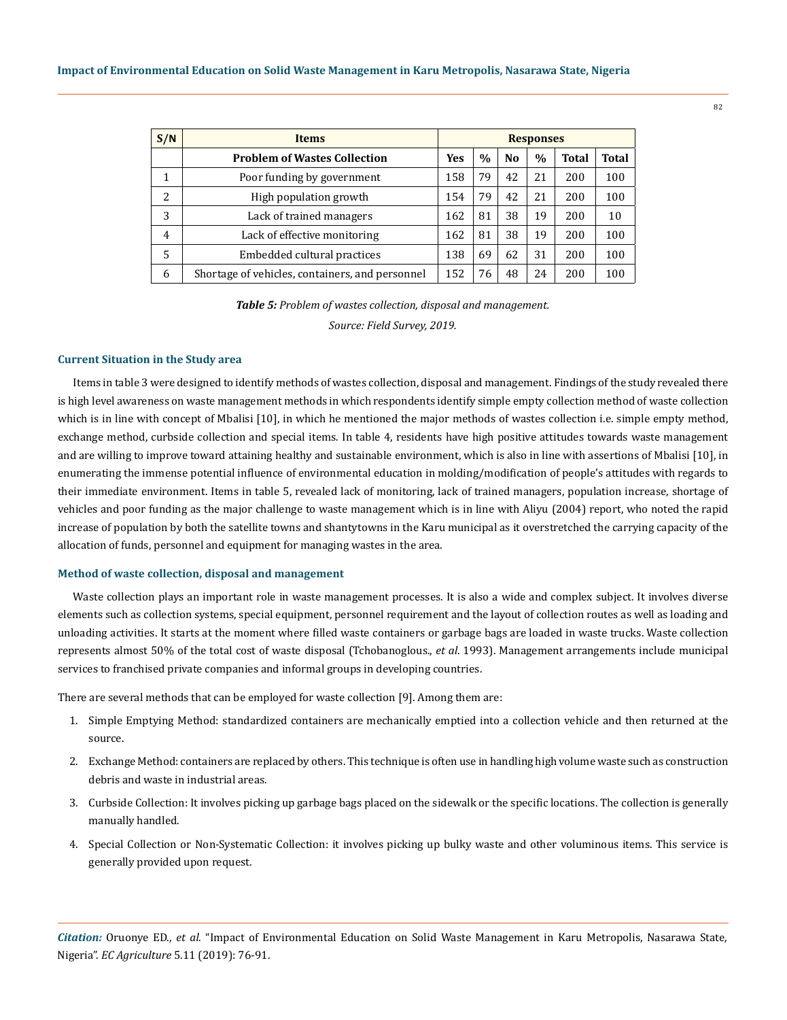| S/N            | <b>Items</b>                                    | <b>Responses</b> |      |                |               |              |       |
|----------------|-------------------------------------------------|------------------|------|----------------|---------------|--------------|-------|
|                | <b>Problem of Wastes Collection</b>             | <b>Yes</b>       | $\%$ | N <sub>0</sub> | $\frac{0}{0}$ | <b>Total</b> | Total |
|                | Poor funding by government                      | 158              | 79   | 42             | 21            | 200          | 100   |
| 2              | High population growth                          | 154              | 79   | 42             | 21            | 200          | 100   |
| 3              | Lack of trained managers                        | 162              | 81   | 38             | 19            | 200          | 10    |
| $\overline{4}$ | Lack of effective monitoring                    | 162              | 81   | 38             | 19            | 200          | 100   |
| 5              | Embedded cultural practices                     | 138              | 69   | 62             | 31            | 200          | 100   |
| 6              | Shortage of vehicles, containers, and personnel | 152              | 76   | 48             | 24            | 200          | 100   |

*Table 5: Problem of wastes collection, disposal and management.*

*Source: Field Survey, 2019.*

## **Current Situation in the Study area**

Items in table 3 were designed to identify methods of wastes collection, disposal and management. Findings of the study revealed there is high level awareness on waste management methods in which respondents identify simple empty collection method of waste collection which is in line with concept of Mbalisi [10], in which he mentioned the major methods of wastes collection i.e. simple empty method, exchange method, curbside collection and special items. In table 4, residents have high positive attitudes towards waste management and are willing to improve toward attaining healthy and sustainable environment, which is also in line with assertions of Mbalisi [10], in enumerating the immense potential influence of environmental education in molding/modification of people's attitudes with regards to their immediate environment. Items in table 5, revealed lack of monitoring, lack of trained managers, population increase, shortage of vehicles and poor funding as the major challenge to waste management which is in line with Aliyu (2004) report, who noted the rapid increase of population by both the satellite towns and shantytowns in the Karu municipal as it overstretched the carrying capacity of the allocation of funds, personnel and equipment for managing wastes in the area.

#### **Method of waste collection, disposal and management**

Waste collection plays an important role in waste management processes. It is also a wide and complex subject. It involves diverse elements such as collection systems, special equipment, personnel requirement and the layout of collection routes as well as loading and unloading activities. It starts at the moment where filled waste containers or garbage bags are loaded in waste trucks. Waste collection represents almost 50% of the total cost of waste disposal (Tchobanoglous., *et al*. 1993). Management arrangements include municipal services to franchised private companies and informal groups in developing countries.

There are several methods that can be employed for waste collection [9]. Among them are:

- 1. Simple Emptying Method: standardized containers are mechanically emptied into a collection vehicle and then returned at the source.
- 2. Exchange Method: containers are replaced by others. This technique is often use in handling high volume waste such as construction debris and waste in industrial areas.
- 3. Curbside Collection: It involves picking up garbage bags placed on the sidewalk or the specific locations. The collection is generally manually handled.
- 4. Special Collection or Non-Systematic Collection: it involves picking up bulky waste and other voluminous items. This service is generally provided upon request.

*Citation:* Oruonye ED., *et al*. "Impact of Environmental Education on Solid Waste Management in Karu Metropolis, Nasarawa State, Nigeria". *EC Agriculture* 5.11 (2019): 76-91.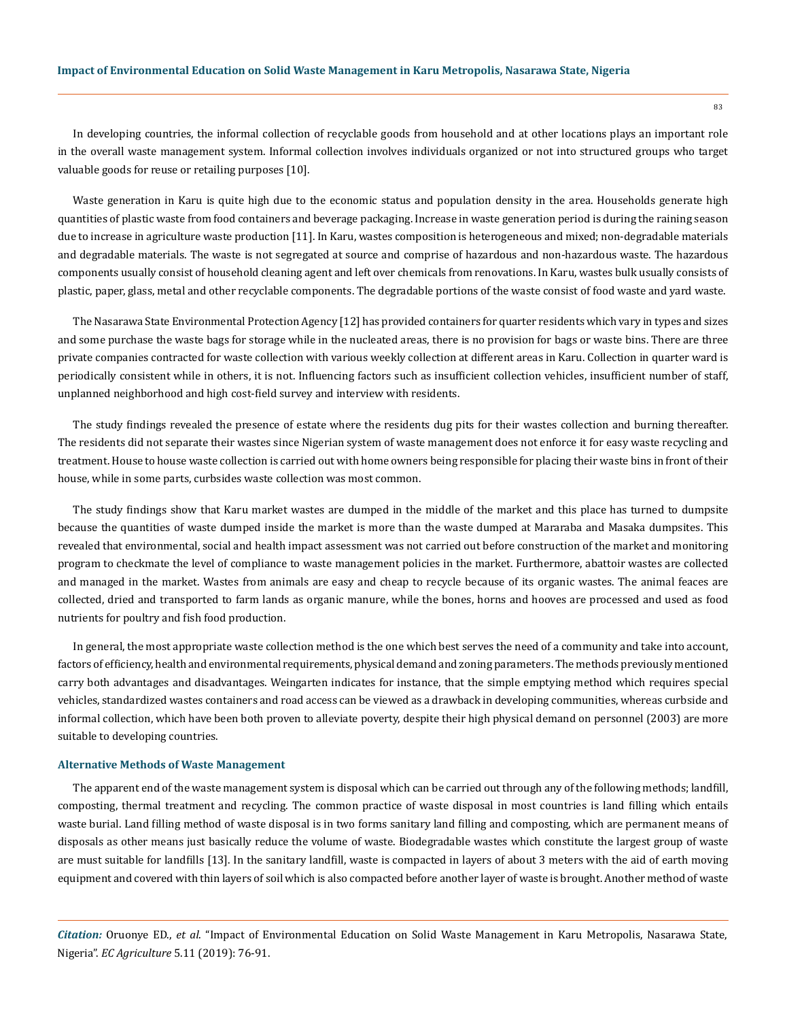In developing countries, the informal collection of recyclable goods from household and at other locations plays an important role in the overall waste management system. Informal collection involves individuals organized or not into structured groups who target valuable goods for reuse or retailing purposes [10].

Waste generation in Karu is quite high due to the economic status and population density in the area. Households generate high quantities of plastic waste from food containers and beverage packaging. Increase in waste generation period is during the raining season due to increase in agriculture waste production [11]. In Karu, wastes composition is heterogeneous and mixed; non-degradable materials and degradable materials. The waste is not segregated at source and comprise of hazardous and non-hazardous waste. The hazardous components usually consist of household cleaning agent and left over chemicals from renovations. In Karu, wastes bulk usually consists of plastic, paper, glass, metal and other recyclable components. The degradable portions of the waste consist of food waste and yard waste.

The Nasarawa State Environmental Protection Agency [12] has provided containers for quarter residents which vary in types and sizes and some purchase the waste bags for storage while in the nucleated areas, there is no provision for bags or waste bins. There are three private companies contracted for waste collection with various weekly collection at different areas in Karu. Collection in quarter ward is periodically consistent while in others, it is not. Influencing factors such as insufficient collection vehicles, insufficient number of staff, unplanned neighborhood and high cost-field survey and interview with residents.

The study findings revealed the presence of estate where the residents dug pits for their wastes collection and burning thereafter. The residents did not separate their wastes since Nigerian system of waste management does not enforce it for easy waste recycling and treatment. House to house waste collection is carried out with home owners being responsible for placing their waste bins in front of their house, while in some parts, curbsides waste collection was most common.

The study findings show that Karu market wastes are dumped in the middle of the market and this place has turned to dumpsite because the quantities of waste dumped inside the market is more than the waste dumped at Mararaba and Masaka dumpsites. This revealed that environmental, social and health impact assessment was not carried out before construction of the market and monitoring program to checkmate the level of compliance to waste management policies in the market. Furthermore, abattoir wastes are collected and managed in the market. Wastes from animals are easy and cheap to recycle because of its organic wastes. The animal feaces are collected, dried and transported to farm lands as organic manure, while the bones, horns and hooves are processed and used as food nutrients for poultry and fish food production.

In general, the most appropriate waste collection method is the one which best serves the need of a community and take into account, factors of efficiency, health and environmental requirements, physical demand and zoning parameters. The methods previously mentioned carry both advantages and disadvantages. Weingarten indicates for instance, that the simple emptying method which requires special vehicles, standardized wastes containers and road access can be viewed as a drawback in developing communities, whereas curbside and informal collection, which have been both proven to alleviate poverty, despite their high physical demand on personnel (2003) are more suitable to developing countries.

## **Alternative Methods of Waste Management**

The apparent end of the waste management system is disposal which can be carried out through any of the following methods; landfill, composting, thermal treatment and recycling. The common practice of waste disposal in most countries is land filling which entails waste burial. Land filling method of waste disposal is in two forms sanitary land filling and composting, which are permanent means of disposals as other means just basically reduce the volume of waste. Biodegradable wastes which constitute the largest group of waste are must suitable for landfills [13]. In the sanitary landfill, waste is compacted in layers of about 3 meters with the aid of earth moving equipment and covered with thin layers of soil which is also compacted before another layer of waste is brought. Another method of waste

*Citation:* Oruonye ED., *et al*. "Impact of Environmental Education on Solid Waste Management in Karu Metropolis, Nasarawa State, Nigeria". *EC Agriculture* 5.11 (2019): 76-91.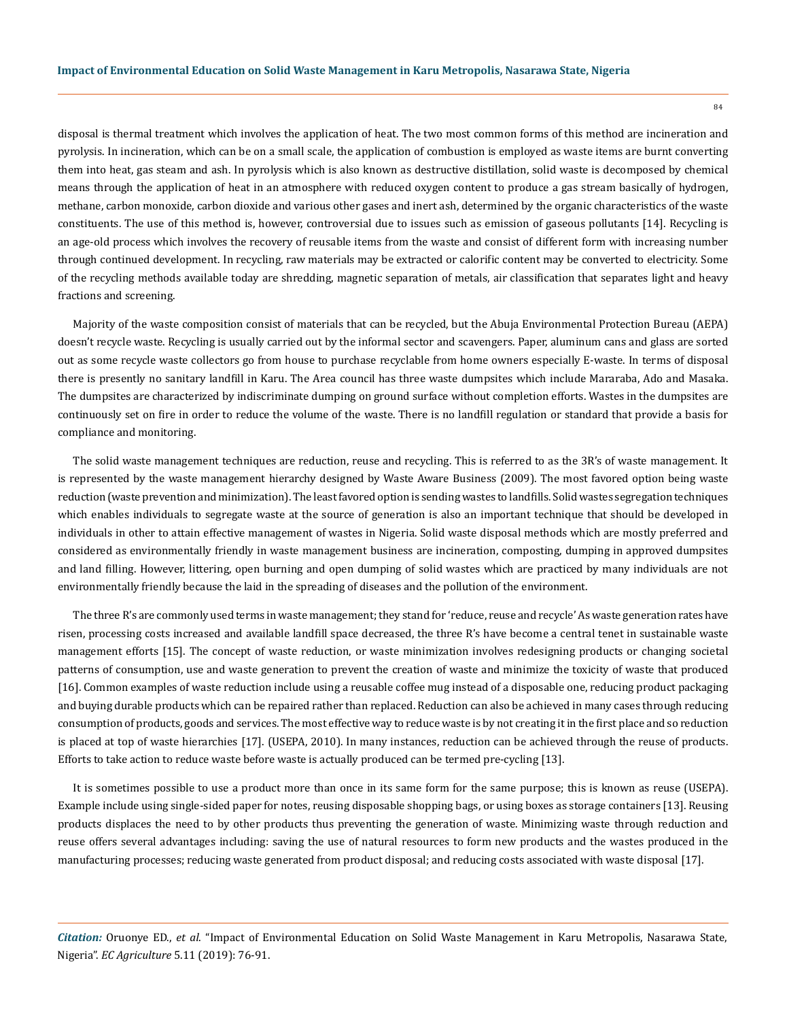disposal is thermal treatment which involves the application of heat. The two most common forms of this method are incineration and pyrolysis. In incineration, which can be on a small scale, the application of combustion is employed as waste items are burnt converting them into heat, gas steam and ash. In pyrolysis which is also known as destructive distillation, solid waste is decomposed by chemical means through the application of heat in an atmosphere with reduced oxygen content to produce a gas stream basically of hydrogen, methane, carbon monoxide, carbon dioxide and various other gases and inert ash, determined by the organic characteristics of the waste constituents. The use of this method is, however, controversial due to issues such as emission of gaseous pollutants [14]. Recycling is an age-old process which involves the recovery of reusable items from the waste and consist of different form with increasing number through continued development. In recycling, raw materials may be extracted or calorific content may be converted to electricity. Some of the recycling methods available today are shredding, magnetic separation of metals, air classification that separates light and heavy fractions and screening.

Majority of the waste composition consist of materials that can be recycled, but the Abuja Environmental Protection Bureau (AEPA) doesn't recycle waste. Recycling is usually carried out by the informal sector and scavengers. Paper, aluminum cans and glass are sorted out as some recycle waste collectors go from house to purchase recyclable from home owners especially E-waste. In terms of disposal there is presently no sanitary landfill in Karu. The Area council has three waste dumpsites which include Mararaba, Ado and Masaka. The dumpsites are characterized by indiscriminate dumping on ground surface without completion efforts. Wastes in the dumpsites are continuously set on fire in order to reduce the volume of the waste. There is no landfill regulation or standard that provide a basis for compliance and monitoring.

The solid waste management techniques are reduction, reuse and recycling. This is referred to as the 3R's of waste management. It is represented by the waste management hierarchy designed by Waste Aware Business (2009). The most favored option being waste reduction (waste prevention and minimization). The least favored option is sending wastes to landfills. Solid wastes segregation techniques which enables individuals to segregate waste at the source of generation is also an important technique that should be developed in individuals in other to attain effective management of wastes in Nigeria. Solid waste disposal methods which are mostly preferred and considered as environmentally friendly in waste management business are incineration, composting, dumping in approved dumpsites and land filling. However, littering, open burning and open dumping of solid wastes which are practiced by many individuals are not environmentally friendly because the laid in the spreading of diseases and the pollution of the environment.

The three R's are commonly used terms in waste management; they stand for 'reduce, reuse and recycle' As waste generation rates have risen, processing costs increased and available landfill space decreased, the three R's have become a central tenet in sustainable waste management efforts [15]. The concept of waste reduction, or waste minimization involves redesigning products or changing societal patterns of consumption, use and waste generation to prevent the creation of waste and minimize the toxicity of waste that produced [16]. Common examples of waste reduction include using a reusable coffee mug instead of a disposable one, reducing product packaging and buying durable products which can be repaired rather than replaced. Reduction can also be achieved in many cases through reducing consumption of products, goods and services. The most effective way to reduce waste is by not creating it in the first place and so reduction is placed at top of waste hierarchies [17]. (USEPA, 2010). In many instances, reduction can be achieved through the reuse of products. Efforts to take action to reduce waste before waste is actually produced can be termed pre-cycling [13].

It is sometimes possible to use a product more than once in its same form for the same purpose; this is known as reuse (USEPA). Example include using single-sided paper for notes, reusing disposable shopping bags, or using boxes as storage containers [13]. Reusing products displaces the need to by other products thus preventing the generation of waste. Minimizing waste through reduction and reuse offers several advantages including: saving the use of natural resources to form new products and the wastes produced in the manufacturing processes; reducing waste generated from product disposal; and reducing costs associated with waste disposal [17].

*Citation:* Oruonye ED., *et al*. "Impact of Environmental Education on Solid Waste Management in Karu Metropolis, Nasarawa State, Nigeria". *EC Agriculture* 5.11 (2019): 76-91.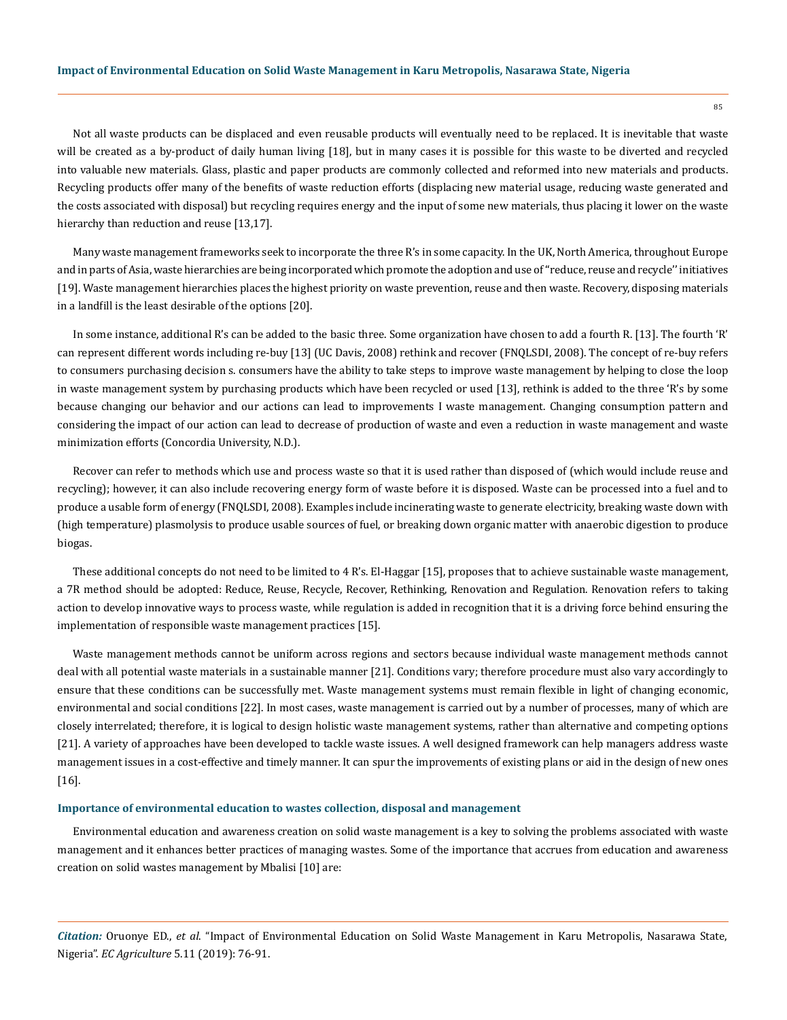Not all waste products can be displaced and even reusable products will eventually need to be replaced. It is inevitable that waste will be created as a by-product of daily human living [18], but in many cases it is possible for this waste to be diverted and recycled into valuable new materials. Glass, plastic and paper products are commonly collected and reformed into new materials and products. Recycling products offer many of the benefits of waste reduction efforts (displacing new material usage, reducing waste generated and the costs associated with disposal) but recycling requires energy and the input of some new materials, thus placing it lower on the waste hierarchy than reduction and reuse [13,17].

Many waste management frameworks seek to incorporate the three R's in some capacity. In the UK, North America, throughout Europe and in parts of Asia, waste hierarchies are being incorporated which promote the adoption and use of ''reduce, reuse and recycle'' initiatives [19]. Waste management hierarchies places the highest priority on waste prevention, reuse and then waste. Recovery, disposing materials in a landfill is the least desirable of the options [20].

In some instance, additional R's can be added to the basic three. Some organization have chosen to add a fourth R. [13]. The fourth 'R' can represent different words including re-buy [13] (UC Davis, 2008) rethink and recover (FNQLSDI, 2008). The concept of re-buy refers to consumers purchasing decision s. consumers have the ability to take steps to improve waste management by helping to close the loop in waste management system by purchasing products which have been recycled or used [13], rethink is added to the three 'R's by some because changing our behavior and our actions can lead to improvements I waste management. Changing consumption pattern and considering the impact of our action can lead to decrease of production of waste and even a reduction in waste management and waste minimization efforts (Concordia University, N.D.).

Recover can refer to methods which use and process waste so that it is used rather than disposed of (which would include reuse and recycling); however, it can also include recovering energy form of waste before it is disposed. Waste can be processed into a fuel and to produce a usable form of energy (FNQLSDI, 2008). Examples include incinerating waste to generate electricity, breaking waste down with (high temperature) plasmolysis to produce usable sources of fuel, or breaking down organic matter with anaerobic digestion to produce biogas.

These additional concepts do not need to be limited to 4 R's. El-Haggar [15], proposes that to achieve sustainable waste management, a 7R method should be adopted: Reduce, Reuse, Recycle, Recover, Rethinking, Renovation and Regulation. Renovation refers to taking action to develop innovative ways to process waste, while regulation is added in recognition that it is a driving force behind ensuring the implementation of responsible waste management practices [15].

Waste management methods cannot be uniform across regions and sectors because individual waste management methods cannot deal with all potential waste materials in a sustainable manner [21]. Conditions vary; therefore procedure must also vary accordingly to ensure that these conditions can be successfully met. Waste management systems must remain flexible in light of changing economic, environmental and social conditions [22]. In most cases, waste management is carried out by a number of processes, many of which are closely interrelated; therefore, it is logical to design holistic waste management systems, rather than alternative and competing options [21]. A variety of approaches have been developed to tackle waste issues. A well designed framework can help managers address waste management issues in a cost-effective and timely manner. It can spur the improvements of existing plans or aid in the design of new ones [16].

#### **Importance of environmental education to wastes collection, disposal and management**

Environmental education and awareness creation on solid waste management is a key to solving the problems associated with waste management and it enhances better practices of managing wastes. Some of the importance that accrues from education and awareness creation on solid wastes management by Mbalisi [10] are:

*Citation:* Oruonye ED., *et al*. "Impact of Environmental Education on Solid Waste Management in Karu Metropolis, Nasarawa State, Nigeria". *EC Agriculture* 5.11 (2019): 76-91.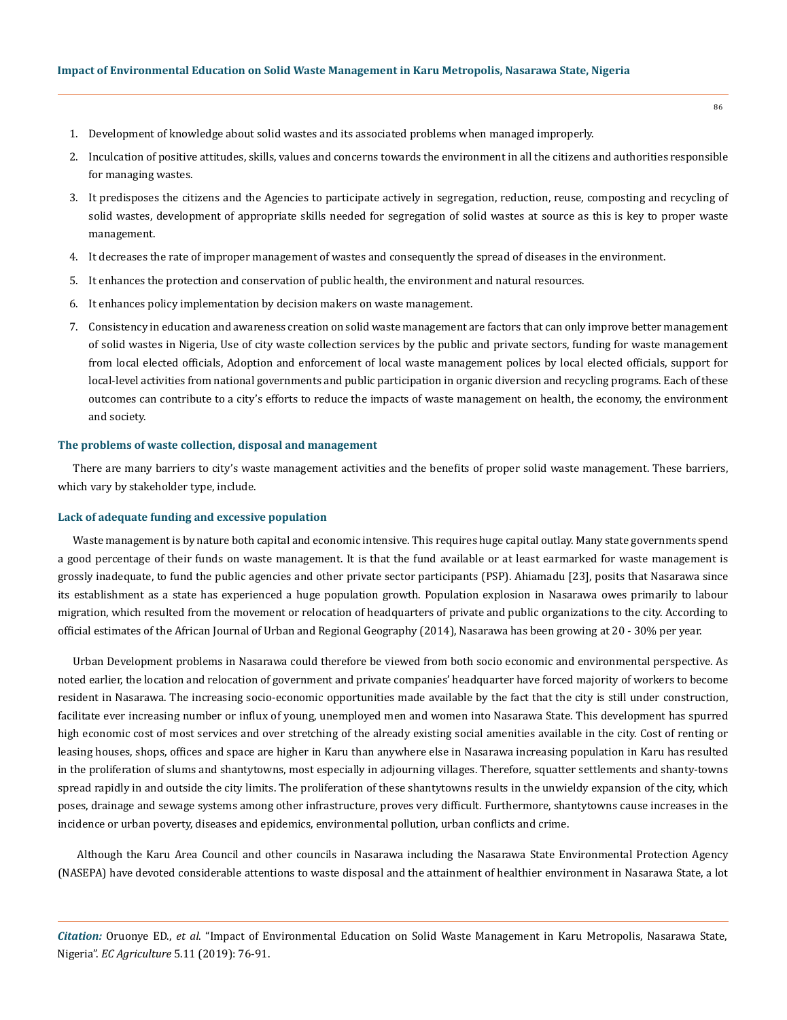- 1. Development of knowledge about solid wastes and its associated problems when managed improperly.
- 2. Inculcation of positive attitudes, skills, values and concerns towards the environment in all the citizens and authorities responsible for managing wastes.
- 3. It predisposes the citizens and the Agencies to participate actively in segregation, reduction, reuse, composting and recycling of solid wastes, development of appropriate skills needed for segregation of solid wastes at source as this is key to proper waste management.
- 4. It decreases the rate of improper management of wastes and consequently the spread of diseases in the environment.
- 5. It enhances the protection and conservation of public health, the environment and natural resources.
- 6. It enhances policy implementation by decision makers on waste management.
- 7. Consistency in education and awareness creation on solid waste management are factors that can only improve better management of solid wastes in Nigeria, Use of city waste collection services by the public and private sectors, funding for waste management from local elected officials, Adoption and enforcement of local waste management polices by local elected officials, support for local-level activities from national governments and public participation in organic diversion and recycling programs. Each of these outcomes can contribute to a city's efforts to reduce the impacts of waste management on health, the economy, the environment and society.

## **The problems of waste collection, disposal and management**

There are many barriers to city's waste management activities and the benefits of proper solid waste management. These barriers, which vary by stakeholder type, include.

## **Lack of adequate funding and excessive population**

Waste management is by nature both capital and economic intensive. This requires huge capital outlay. Many state governments spend a good percentage of their funds on waste management. It is that the fund available or at least earmarked for waste management is grossly inadequate, to fund the public agencies and other private sector participants (PSP). Ahiamadu [23], posits that Nasarawa since its establishment as a state has experienced a huge population growth. Population explosion in Nasarawa owes primarily to labour migration, which resulted from the movement or relocation of headquarters of private and public organizations to the city. According to official estimates of the African Journal of Urban and Regional Geography (2014), Nasarawa has been growing at 20 - 30% per year.

Urban Development problems in Nasarawa could therefore be viewed from both socio economic and environmental perspective. As noted earlier, the location and relocation of government and private companies' headquarter have forced majority of workers to become resident in Nasarawa. The increasing socio-economic opportunities made available by the fact that the city is still under construction, facilitate ever increasing number or influx of young, unemployed men and women into Nasarawa State. This development has spurred high economic cost of most services and over stretching of the already existing social amenities available in the city. Cost of renting or leasing houses, shops, offices and space are higher in Karu than anywhere else in Nasarawa increasing population in Karu has resulted in the proliferation of slums and shantytowns, most especially in adjourning villages. Therefore, squatter settlements and shanty-towns spread rapidly in and outside the city limits. The proliferation of these shantytowns results in the unwieldy expansion of the city, which poses, drainage and sewage systems among other infrastructure, proves very difficult. Furthermore, shantytowns cause increases in the incidence or urban poverty, diseases and epidemics, environmental pollution, urban conflicts and crime.

 Although the Karu Area Council and other councils in Nasarawa including the Nasarawa State Environmental Protection Agency (NASEPA) have devoted considerable attentions to waste disposal and the attainment of healthier environment in Nasarawa State, a lot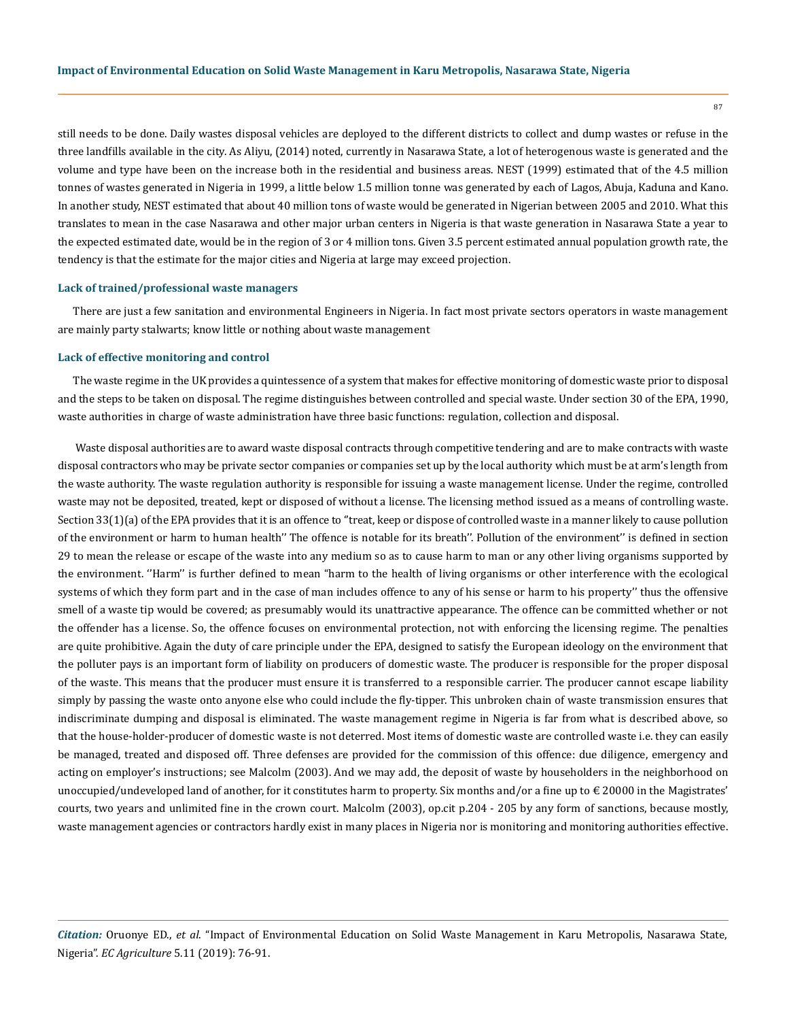still needs to be done. Daily wastes disposal vehicles are deployed to the different districts to collect and dump wastes or refuse in the three landfills available in the city. As Aliyu, (2014) noted, currently in Nasarawa State, a lot of heterogenous waste is generated and the volume and type have been on the increase both in the residential and business areas. NEST (1999) estimated that of the 4.5 million tonnes of wastes generated in Nigeria in 1999, a little below 1.5 million tonne was generated by each of Lagos, Abuja, Kaduna and Kano. In another study, NEST estimated that about 40 million tons of waste would be generated in Nigerian between 2005 and 2010. What this translates to mean in the case Nasarawa and other major urban centers in Nigeria is that waste generation in Nasarawa State a year to the expected estimated date, would be in the region of 3 or 4 million tons. Given 3.5 percent estimated annual population growth rate, the tendency is that the estimate for the major cities and Nigeria at large may exceed projection.

# **Lack of trained/professional waste managers**

There are just a few sanitation and environmental Engineers in Nigeria. In fact most private sectors operators in waste management are mainly party stalwarts; know little or nothing about waste management

#### **Lack of effective monitoring and control**

The waste regime in the UK provides a quintessence of a system that makes for effective monitoring of domestic waste prior to disposal and the steps to be taken on disposal. The regime distinguishes between controlled and special waste. Under section 30 of the EPA, 1990, waste authorities in charge of waste administration have three basic functions: regulation, collection and disposal.

 Waste disposal authorities are to award waste disposal contracts through competitive tendering and are to make contracts with waste disposal contractors who may be private sector companies or companies set up by the local authority which must be at arm's length from the waste authority. The waste regulation authority is responsible for issuing a waste management license. Under the regime, controlled waste may not be deposited, treated, kept or disposed of without a license. The licensing method issued as a means of controlling waste. Section 33(1)(a) of the EPA provides that it is an offence to ''treat, keep or dispose of controlled waste in a manner likely to cause pollution of the environment or harm to human health'' The offence is notable for its breath''. Pollution of the environment'' is defined in section 29 to mean the release or escape of the waste into any medium so as to cause harm to man or any other living organisms supported by the environment. ''Harm'' is further defined to mean "harm to the health of living organisms or other interference with the ecological systems of which they form part and in the case of man includes offence to any of his sense or harm to his property'' thus the offensive smell of a waste tip would be covered; as presumably would its unattractive appearance. The offence can be committed whether or not the offender has a license. So, the offence focuses on environmental protection, not with enforcing the licensing regime. The penalties are quite prohibitive. Again the duty of care principle under the EPA, designed to satisfy the European ideology on the environment that the polluter pays is an important form of liability on producers of domestic waste. The producer is responsible for the proper disposal of the waste. This means that the producer must ensure it is transferred to a responsible carrier. The producer cannot escape liability simply by passing the waste onto anyone else who could include the fly-tipper. This unbroken chain of waste transmission ensures that indiscriminate dumping and disposal is eliminated. The waste management regime in Nigeria is far from what is described above, so that the house-holder-producer of domestic waste is not deterred. Most items of domestic waste are controlled waste i.e. they can easily be managed, treated and disposed off. Three defenses are provided for the commission of this offence: due diligence, emergency and acting on employer's instructions; see Malcolm (2003). And we may add, the deposit of waste by householders in the neighborhood on unoccupied/undeveloped land of another, for it constitutes harm to property. Six months and/or a fine up to  $\epsilon$  20000 in the Magistrates' courts, two years and unlimited fine in the crown court. Malcolm (2003), op.cit p.204 - 205 by any form of sanctions, because mostly, waste management agencies or contractors hardly exist in many places in Nigeria nor is monitoring and monitoring authorities effective.

*Citation:* Oruonye ED., *et al*. "Impact of Environmental Education on Solid Waste Management in Karu Metropolis, Nasarawa State, Nigeria". *EC Agriculture* 5.11 (2019): 76-91.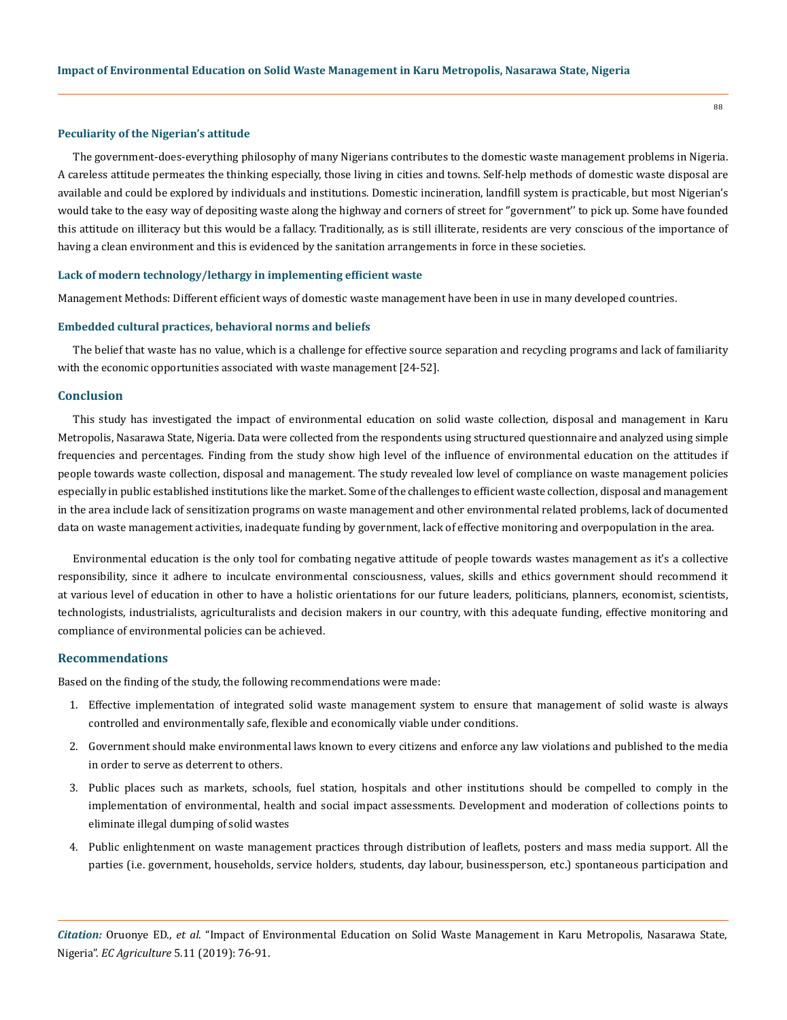## **Peculiarity of the Nigerian's attitude**

The government-does-everything philosophy of many Nigerians contributes to the domestic waste management problems in Nigeria. A careless attitude permeates the thinking especially, those living in cities and towns. Self-help methods of domestic waste disposal are available and could be explored by individuals and institutions. Domestic incineration, landfill system is practicable, but most Nigerian's would take to the easy way of depositing waste along the highway and corners of street for ''government'' to pick up. Some have founded this attitude on illiteracy but this would be a fallacy. Traditionally, as is still illiterate, residents are very conscious of the importance of having a clean environment and this is evidenced by the sanitation arrangements in force in these societies.

## **Lack of modern technology/lethargy in implementing efficient waste**

Management Methods: Different efficient ways of domestic waste management have been in use in many developed countries.

## **Embedded cultural practices, behavioral norms and beliefs**

The belief that waste has no value, which is a challenge for effective source separation and recycling programs and lack of familiarity with the economic opportunities associated with waste management [24-52].

# **Conclusion**

This study has investigated the impact of environmental education on solid waste collection, disposal and management in Karu Metropolis, Nasarawa State, Nigeria. Data were collected from the respondents using structured questionnaire and analyzed using simple frequencies and percentages. Finding from the study show high level of the influence of environmental education on the attitudes if people towards waste collection, disposal and management. The study revealed low level of compliance on waste management policies especially in public established institutions like the market. Some of the challenges to efficient waste collection, disposal and management in the area include lack of sensitization programs on waste management and other environmental related problems, lack of documented data on waste management activities, inadequate funding by government, lack of effective monitoring and overpopulation in the area.

Environmental education is the only tool for combating negative attitude of people towards wastes management as it's a collective responsibility, since it adhere to inculcate environmental consciousness, values, skills and ethics government should recommend it at various level of education in other to have a holistic orientations for our future leaders, politicians, planners, economist, scientists, technologists, industrialists, agriculturalists and decision makers in our country, with this adequate funding, effective monitoring and compliance of environmental policies can be achieved.

# **Recommendations**

Based on the finding of the study, the following recommendations were made:

- 1. Effective implementation of integrated solid waste management system to ensure that management of solid waste is always controlled and environmentally safe, flexible and economically viable under conditions.
- 2. Government should make environmental laws known to every citizens and enforce any law violations and published to the media in order to serve as deterrent to others.
- 3. Public places such as markets, schools, fuel station, hospitals and other institutions should be compelled to comply in the implementation of environmental, health and social impact assessments. Development and moderation of collections points to eliminate illegal dumping of solid wastes
- 4. Public enlightenment on waste management practices through distribution of leaflets, posters and mass media support. All the parties (i.e. government, households, service holders, students, day labour, businessperson, etc.) spontaneous participation and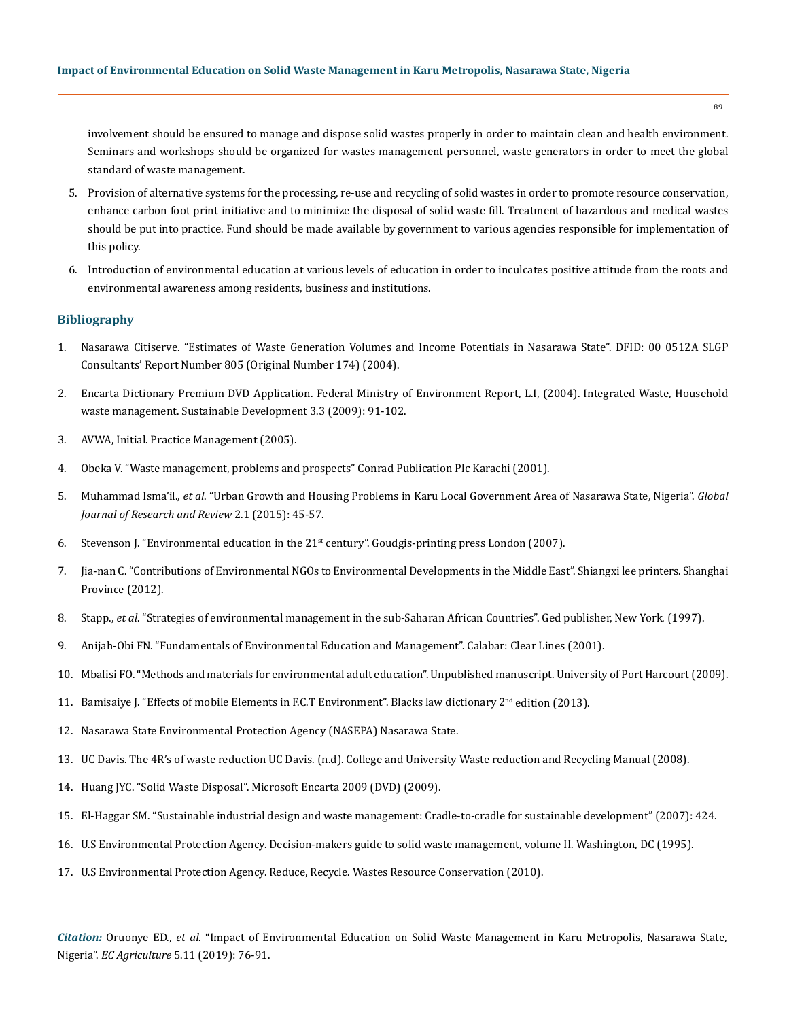involvement should be ensured to manage and dispose solid wastes properly in order to maintain clean and health environment. Seminars and workshops should be organized for wastes management personnel, waste generators in order to meet the global standard of waste management.

- 5. Provision of alternative systems for the processing, re-use and recycling of solid wastes in order to promote resource conservation, enhance carbon foot print initiative and to minimize the disposal of solid waste fill. Treatment of hazardous and medical wastes should be put into practice. Fund should be made available by government to various agencies responsible for implementation of this policy.
- 6. Introduction of environmental education at various levels of education in order to inculcates positive attitude from the roots and environmental awareness among residents, business and institutions.

# **Bibliography**

- 1. Nasarawa Citiserve. "Estimates of Waste Generation Volumes and Income Potentials in Nasarawa State". DFID: 00 0512A SLGP Consultants' Report Number 805 (Original Number 174) (2004).
- 2. Encarta Dictionary Premium DVD Application. Federal Ministry of Environment Report, L.I, (2004). Integrated Waste, Household waste management. Sustainable Development 3.3 (2009): 91-102.
- 3. AVWA, Initial. Practice Management (2005).
- 4. Obeka V. "Waste management, problems and prospects" Conrad Publication Plc Karachi (2001).
- 5. Muhammad Isma'il., *et al*[. "Urban Growth and Housing Problems in Karu Local Government Area of Nasarawa State, Nigeria".](https://pdfs.semanticscholar.org/3f9c/05a1d17ffa9e25068296e35bf27bb2e61581.pdf?_ga=2.162365948.1924623023.1571919557-454325851.1571286590) *Global [Journal of Research and Review](https://pdfs.semanticscholar.org/3f9c/05a1d17ffa9e25068296e35bf27bb2e61581.pdf?_ga=2.162365948.1924623023.1571919557-454325851.1571286590)* 2.1 (2015): 45-57.
- 6. Stevenson J. "Environmental education in the 21st century". Goudgis-printing press London (2007).
- 7. Jia-nan C. "Contributions of Environmental NGOs to Environmental Developments in the Middle East". Shiangxi lee printers. Shanghai Province (2012).
- 8. Stapp., *et al*. "Strategies of environmental management in the sub-Saharan African Countries". Ged publisher, New York. (1997).
- 9. Anijah-Obi FN. "Fundamentals of Environmental Education and Management". Calabar: Clear Lines (2001).
- 10. Mbalisi FO. "Methods and materials for environmental adult education". Unpublished manuscript. University of Port Harcourt (2009).
- 11. Bamisaiye J. "Effects of mobile Elements in F.C.T Environment". Blacks law dictionary 2<sup>nd</sup> edition (2013).
- 12. Nasarawa State Environmental Protection Agency (NASEPA) Nasarawa State.
- 13. UC Davis. The 4R's of waste reduction UC Davis. (n.d). College and University Waste reduction and Recycling Manual (2008).
- 14. Huang JYC. "Solid Waste Disposal". Microsoft Encarta 2009 (DVD) (2009).
- 15. El-Haggar SM. "Sustainable industrial design and waste management: Cradle-to-cradle for sustainable development" (2007): 424.
- 16. [U.S Environmental Protection Agency. Decision-makers guide to solid waste management, volume II. Washington, DC \(1995\).](http://www.epa.gov/osw/nonhaz/municipal/dmg2/)
- 17. [U.S Environmental Protection Agency. Reduce, Recycle. Wastes Resource Conservation \(2010\).](https://www.epa.gov/sites/production/files/2013-12/documents/annual-report-2010.pdf)

*Citation:* Oruonye ED., *et al*. "Impact of Environmental Education on Solid Waste Management in Karu Metropolis, Nasarawa State, Nigeria". *EC Agriculture* 5.11 (2019): 76-91.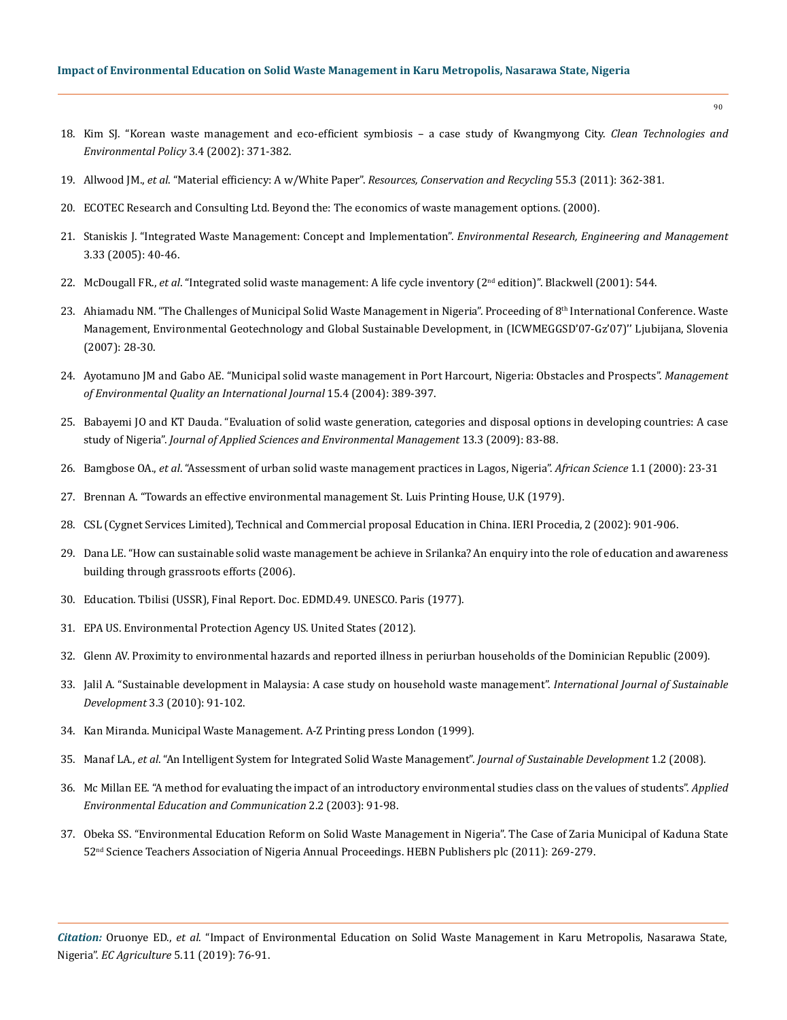- 18. [Kim SJ. "Korean waste management and eco-efficient symbiosis a case study of Kwangmyong City.](https://link.springer.com/article/10.1007/s10098-001-0124-9) *Clean Technologies and [Environmental Policy](https://link.springer.com/article/10.1007/s10098-001-0124-9)* 3.4 (2002): 371-382.
- 19. Allwood JM., *et al*. "Material efficiency: A w/White Paper". *[Resources, Conservation and Recycling](https://www.researchgate.net/publication/222706366_Material_efficiency_A_white_paper)* 55.3 (2011): 362-381.
- 20. [ECOTEC Research and Consulting Ltd. Beyond the: The economics of waste management options. \(2000\).](https://friendsoftheearth.uk/resource/reports/economic_waste_options.%20pdf)
- 21. [Staniskis J. "Integrated Waste Management: Concept and Implementation".](https://www.researchgate.net/publication/228627507_Integrated_Waste_Management_Concept_and_Implementation) *Environmental Research, Engineering and Management* [3.33 \(2005\): 40-46.](https://www.researchgate.net/publication/228627507_Integrated_Waste_Management_Concept_and_Implementation)
- 22. McDougall FR., *et al*. "Integrated solid waste management: A life cycle inventory (2nd edition)". Blackwell (2001): 544.
- 23. Ahiamadu NM. "The Challenges of Municipal Solid Waste Management in Nigeria". Proceeding of 8<sup>th</sup> International Conference. Waste Management, Environmental Geotechnology and Global Sustainable Development, in (ICWMEGGSD'07-Gz'07)'' Ljubijana, Slovenia (2007): 28-30.
- 24. [Ayotamuno JM and Gabo AE. "Municipal solid waste management in Port Harcourt, Nigeria: Obstacles and Prospects".](https://www.researchgate.net/publication/242022999_Municipal_Solid_Waste_Management_in_Port_Harcourt_Nigeria) *Management [of Environmental Quality an International Journal](https://www.researchgate.net/publication/242022999_Municipal_Solid_Waste_Management_in_Port_Harcourt_Nigeria)* 15.4 (2004): 389-397.
- 25. [Babayemi JO and KT Dauda. "Evaluation of solid waste generation, categories and disposal options in developing countries: A case](https://www.ajol.info/index.php/jasem/article/view/55370)  study of Nigeria". *[Journal of Applied Sciences and Environmental Management](https://www.ajol.info/index.php/jasem/article/view/55370)* 13.3 (2009): 83-88.
- 26. Bamgbose OA., *et al*. "Assessment of urban solid waste management practices in Lagos, Nigeria". *African Science* 1.1 (2000): 23-31
- 27. Brennan A. "Towards an effective environmental management St. Luis Printing House, U.K (1979).
- 28. CSL (Cygnet Services Limited), Technical and Commercial proposal Education in China. IERI Procedia, 2 (2002): 901-906.
- 29. [Dana LE. "How can sustainable solid waste management be achieve in Srilanka? An enquiry into the role of education and awareness](https://www.worldlearninginc.org/get-involved/connect-with-alumni/)  [building through grassroots efforts \(2006\).](https://www.worldlearninginc.org/get-involved/connect-with-alumni/)
- 30. Education. Tbilisi (USSR), Final Report. Doc. EDMD.49. UNESCO. Paris (1977).
- 31. EPA US. Environmental Protection Agency US. United States (2012).
- 32. Glenn AV. Proximity to environmental hazards and reported illness in periurban households of the Dominician Republic (2009).
- 33. [Jalil A. "Sustainable development in Malaysia: A case study on household waste management".](https://papers.ssrn.com/sol3/papers.cfm?abstract_id=1662135) *International Journal of Sustainable Development* [3.3 \(2010\): 91-102.](https://papers.ssrn.com/sol3/papers.cfm?abstract_id=1662135)
- 34. Kan Miranda. Municipal Waste Management. A-Z Printing press London (1999).
- 35. Manaf LA., *et al*[. "An Intelligent System for Integrated Solid Waste Management".](https://www.researchgate.net/publication/41892425_UrusSisa_An_Intelligent_System_for_Integrated_Solid_Waste_Management) *Journal of Sustainable Development* 1.2 (2008).
- 36. [Mc Millan EE. "A method for evaluating the impact of an introductory environmental studies class on the values of students".](https://www.tandfonline.com/doi/abs/10.1080/15330150390208307) *Applied [Environmental Education and Communication](https://www.tandfonline.com/doi/abs/10.1080/15330150390208307)* 2.2 (2003): 91-98.
- 37. Obeka SS. "Environmental Education Reform on Solid Waste Management in Nigeria". The Case of Zaria Municipal of Kaduna State 52nd Science Teachers Association of Nigeria Annual Proceedings. HEBN Publishers plc (2011): 269-279.

*Citation:* Oruonye ED., *et al*. "Impact of Environmental Education on Solid Waste Management in Karu Metropolis, Nasarawa State, Nigeria". *EC Agriculture* 5.11 (2019): 76-91.